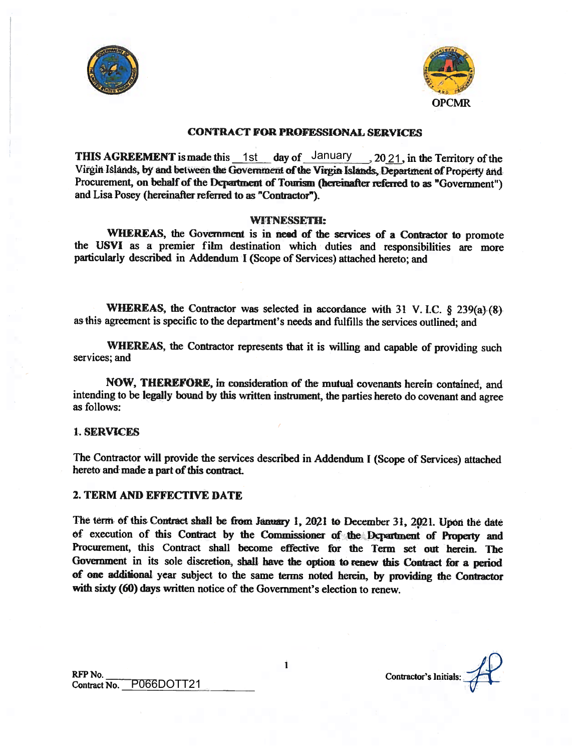



#### CONTRACT FOR PROFESSIONAL SERVICES

THIS AGREEMENT is made this  $\frac{1 \text{st}}{2 \text{st}}$  day of  $\frac{\text{January}}{2021}$ , in the Territory of the Virgin Islands, by and between the Government of the Virgin Islands, Department of Property and Procurement, on behalf of the Dcpartment of Tourism (hereinafter referred to as "Government") and Lisa Posey (hereinafter referred to as "Contractor").

#### WITNESSETH:

WHEREAS, the Government is in need of the services of a Contractor to promote the USVI as <sup>a</sup> premier film destination which duties and responsibilities are more particularly described in Addendum <sup>I</sup> (Scope of Services) attached hereto; and

WHEREAS, the Contractor was selected in accordance with 31 V. I.C.  $\S$  239(a). (8). as this agreement is specific to the department's needs and fulfills the services outlined; and

WHEREAS, the Contractor represents that it is willing and capable of providing such services; and

NOW, THEREFORE, in consideration of the mutual covenants herein contained, and intending to be legally bound by this written instrument, the parties hereto do covenant and agree as follows:

#### 1. SERVICES

The Contractor will provide the services described in Addendum <sup>I</sup> (Scope of Services) attached hereto and made a part of this contract.

#### 2. TERM AND EFFECTIVE DATE

The term of this Contract shall be from January 1, 2021 to December 31, 2021. Upon the date of execution of this Contract by the Commissioner of the Department of Property and Procurement, this Contract shall become effective for the Term set out herein. The Government in its sole discretion, shall have the option to renew this Contract for <sup>a</sup> period of one addional year subject to the same terms noted herein, by providing the Contractor with sixty (60) days written notice of the Government's election to renew.

Contractor's Initials:

Ĺ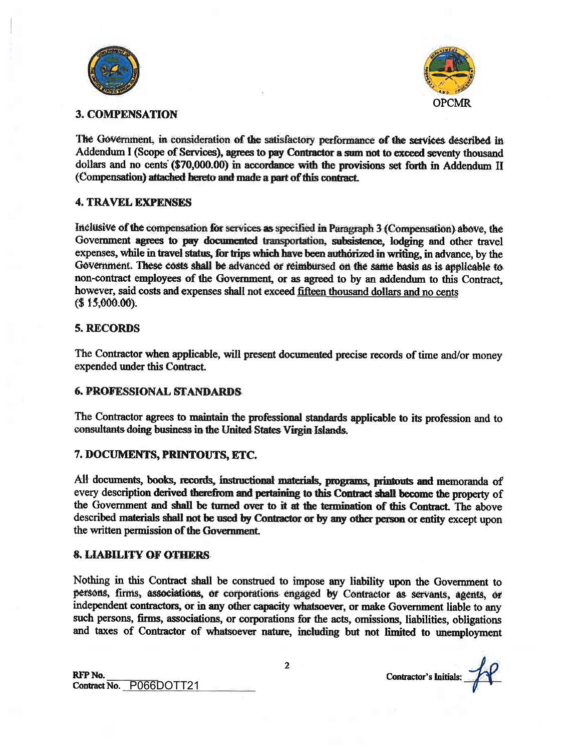



## 3. COMPENSATION

The Government, in consideration of the satisfactory performance of the services described in Addendum I (Scope of Services), agrees to pay Contractor a sum not to exceed seventy thousand dollars and no cents (\$70,000.00) in accordance with the provisions set forth in Addendum II (Compensation) attached hereto and made a part of this contract.

## 4. TRAVEL EXPENSES

Inclusive of the compensation for services as specified in Paragraph 3 (Compensation) above, the Government agrees to pay documented transportation, subsistence, lodging and other travel expenses, while in travel status, for trips which have been authorized in writing, in advance, by the Government. These costs shall be advanced or reimbursed on the same basis as is applicable to non-contract employees of the Government, or as agreed to by an addendum to this Contract, however, said costs and expenses shall not exceed fifteen thousand dollars and no cents  $( $15,000.00).$ 

## 5. RECORDS

The Contractor when applicable, will present documented precise records of time and/or money expended under this Contract.

## 6. PROFESSIONAL STANDARDS

The Contractor agrees to maintain the professional standards applicable to its profession and to consultants doing business in the United States Virgin Islands.

## 7. DOCUMENTS, PRINTOUTS, ETC.

All documents, books, records, instructional materials, programs, printouts and memoranda of every description derived therefrom and pertaining to this Contract shall become the property of the Government and shall be turned over to it at the termination of this Contract. The above described materials shall not be used by Contractor or by any other person or entity except upon the written permission of the Government.

## & LIABILITY OF OTHERS

Nothing in this Contract shall be construed to impose any liability upon the Government to persons, firms, associations, or corporations engaged by Contractor as servants, agents, or independent contractors, or in any other capacity whatsoever, or make Government liable to any such persons, firms, associations, or corporations for the acts, omissions, liabilities, obligations and taxes of Contractor of whatsoever nature, including but not limited to unemployment

RFP No. Contract No. P066DOTT21 Contractor's Initials:

2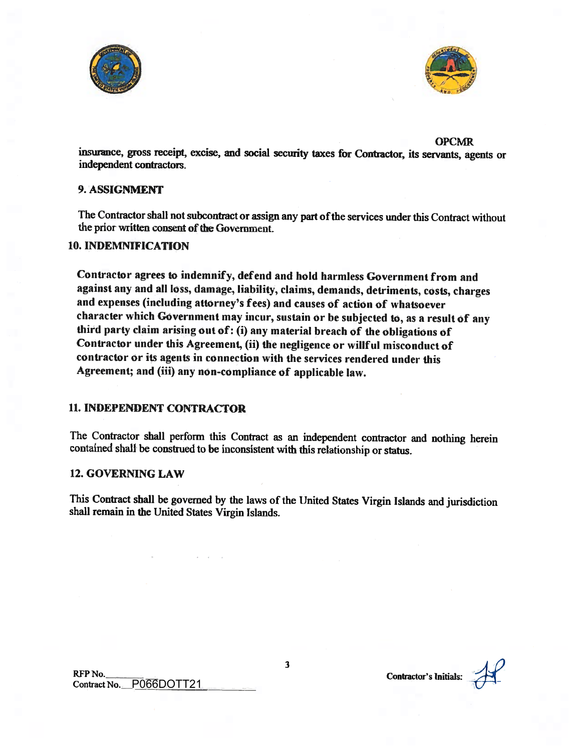



**OPCMR** 

insurance, gross receipt, excise, and social security taxes for Contractor, its servants, agents or independent contractors.

## 9. ASSIGNMENT

The Contractor shall not subcontract or assign any part of the services under this Contract without the prior written consent of the Government.

### 10. INDEMNiFICATION

Contractor agrees to indemnify, defend and hold harmless Government from and against any and all loss, damage, liability, claims, demands, detriments, costs, charges and expenses (including attorney's fees) and causes of action of whatsoever character which Government may incur, sustain or be subjected to, as a result of any third party claim arising out of: (i) any material breach of the obligations of Contractor under this Agreement, (ii) the negligence or willful misconduct of contractor or its agents in connection with the services rendered under this Agreement; and (iii) any non-compliance of applicable law.

## 11. INDEPENDENT CONTRACTOR

The Contractor shall perform this Contract as an independent contractor and nothing herein contained shall be construed to be inconsistent with this relationship or status.

#### 12. GOVERNING LAW

This Contract shall be governed by the laws of the United States Virgin Islands and jurisdiction shall remain in the United States Virgin Islands.

Contractor's Initials: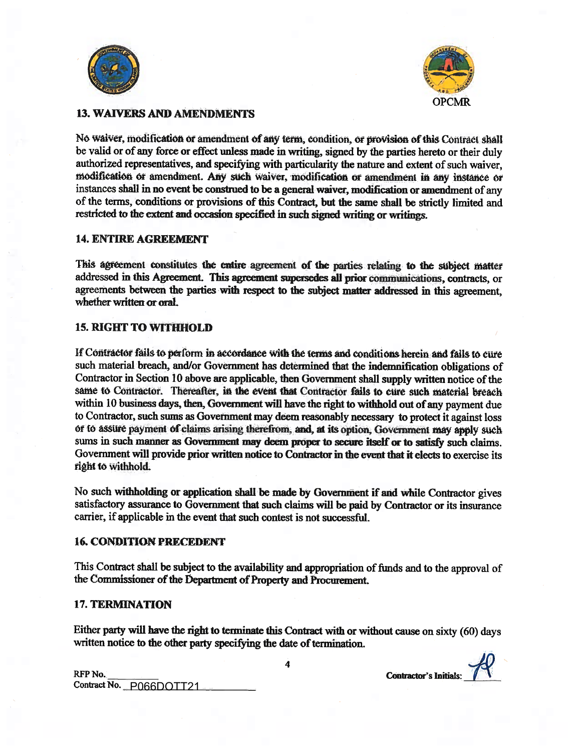



# **13. WAIVERS AND AMENDMENTS**

No waiver, modification or amendment of any term, condition, or provision of this Contract shall be valid or of any force or effect unless made in writing, signed by the parties hereto or their duly authorized representatives, and specifying with particularity the nature and extent of such waiver. modification or amendment. Any such waiver, modification or amendment in any instance or instances shall in no event be construed to be a general waiver, modification or amendment of any of the terms, conditions or provisions of this Contract, but the same shall be strictly limited and restricted to the extent and occasion specified in such signed writing or writings.

### **14. ENTIRE AGREEMENT**

This agreement constitutes the entire agreement of the parties relating to the subject matter addressed in this Agreement. This agreement supersedes all prior communications, contracts, or agreements between the parties with respect to the subject matter addressed in this agreement. whether written or oral.

## **15. RIGHT TO WITHHOLD**

If Contractor fails to perform in accordance with the terms and conditions herein and fails to cure such material breach, and/or Government has determined that the indemnification obligations of Contractor in Section 10 above are applicable, then Government shall supply written notice of the same to Contractor. Thereafter, in the event that Contractor fails to cure such material breach within 10 business days, then, Government will have the right to withhold out of any payment due to Contractor, such sums as Government may deem reasonably necessary to protect it against loss or to assure payment of claims arising therefrom, and, at its option, Government may apply such sums in such manner as Government may deem proper to secure itself or to satisfy such claims. Government will provide prior written notice to Contractor in the event that it elects to exercise its right to withhold.

No such withholding or application shall be made by Government if and while Contractor gives satisfactory assurance to Government that such claims will be paid by Contractor or its insurance carrier, if applicable in the event that such contest is not successful.

## **16. CONDITION PRECEDENT**

This Contract shall be subject to the availability and appropriation of funds and to the approval of the Commissioner of the Department of Property and Procurement.

#### **17. TERMINATION**

Either party will have the right to terminate this Contract with or without cause on sixty (60) days written notice to the other party specifying the date of termination.

 $\overline{\mathbf{4}}$ 

| RFP No.                 |  |
|-------------------------|--|
| Contract No. P066DOTT21 |  |

**Contractor's Initials:**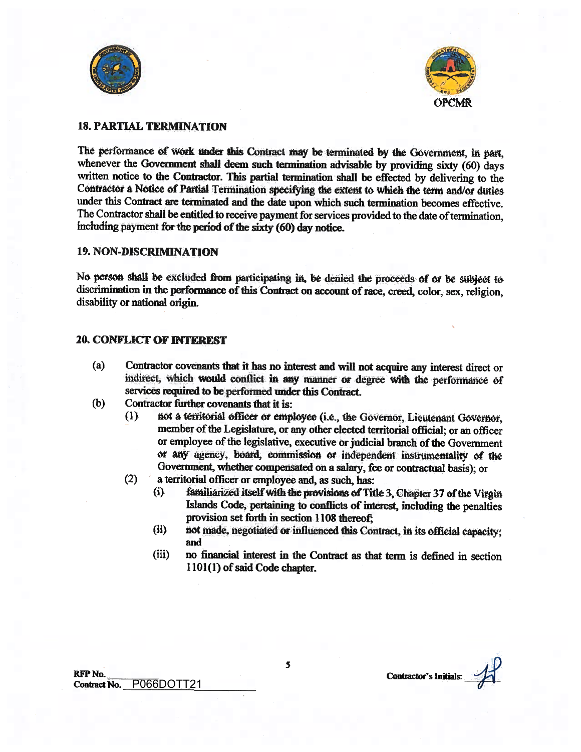



## 18. PARTIAL TERMINATION

The performance of work under this Contract may be terminated by the Government, in part, whenever the Government shall deem such termination advisable by providing sixty (60) days written notice to the Contractor. This partial termination shall be effected by delivering to the Contractor <sup>a</sup> Notice of Partial Termination seeifying the extent to whieh the term and/or duties under this Contract are terminated and the date upon which such termination becomes effective. The Contractor shall be entitled to receive payment for services provided to the date of termination, including payment for the period of the sixty  $(60)$  day notice.

#### 19. NON-DISCRIMINATION

No person shall be excluded front participating in, be denied the proceeds of or be subject to discrimination in the performance of this Contract on account of race, creed, color, sex, religion, disability or national origin.

### 20 CONFLICT OF INTEREST

- (a) Contractor covenants that it has no interest and will not acquire any interest direct or indirect, which would conflict in any manner Of degree with the performance of services required to be performed under this Contract.
- (b) Contractor further covenants that it is:
	- (1) not a territorial officer or employee (i.e., the Governor, Lieutenant Governor, member of the Legislature, or any other elected territorial official; or an officer or employee of the legislative, executive or judicial branch of the Government or any agency, board, commission or independent instrumentality of the Government, whether compensated on <sup>a</sup> salary, fee or contractual basis); or
	- (2) <sup>a</sup> territorial officer or employee and, as such, has:
		- $(i)$  familiarized itself with the provisions of Title 3, Chapter 37 of the Virgin Islands Code, pertaining to conflicts of interest, including the penalties provision set forth in section 1108 thereof;
		- (ii) not made, negotiated or influenced this Contract, in its official capacity; and
		- (iii) no financial interest in the Contract as that term is defined in section 1101(1) of said Code chapter.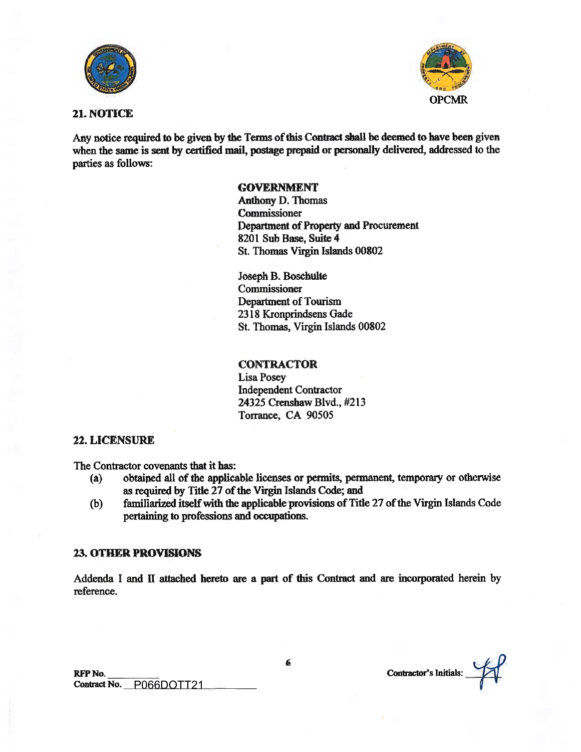



### 21. NOTICE

Any notice required to be given by the Terms of this Contract shall be deemed to have been given when the same is sent by certified mail, postage prepaid or personally delivered, addressed to the parties as follows:

# **GOVERNMENT**

Anthony D. Thomas **Commissioner** Department of Property and Procurement 8201 Sub Base, Suite 4 St. Thomas Virgin Islands 00802

Joseph B. Boschulte Commissioner Department of Tourism 2318 Kronprindsens Gade St. Thomas, Virgin Islands 00802

#### **CONTRACTOR**

Lisa Posey Independent Contractor 24325 Crenshaw Blvd., #213 Torrance, CA 90505

# 22. LICENSURE

The Contractor covenants that it has:

- (a) obtaiped all of the applicable licenses or permits, permanent, temporary or otherwise as required by Title 27 of the Virgin Islands Code; and
- (b) familiarized itself with the applicable provisions of Title 27 of the Virgin Islands Code pertaining to professions and occupations.

#### 23. OTBER PROVISIONS

Addenda I and II attached hereto are a part of this Contract and are incorporated herein by reference.

Contractor's Initials: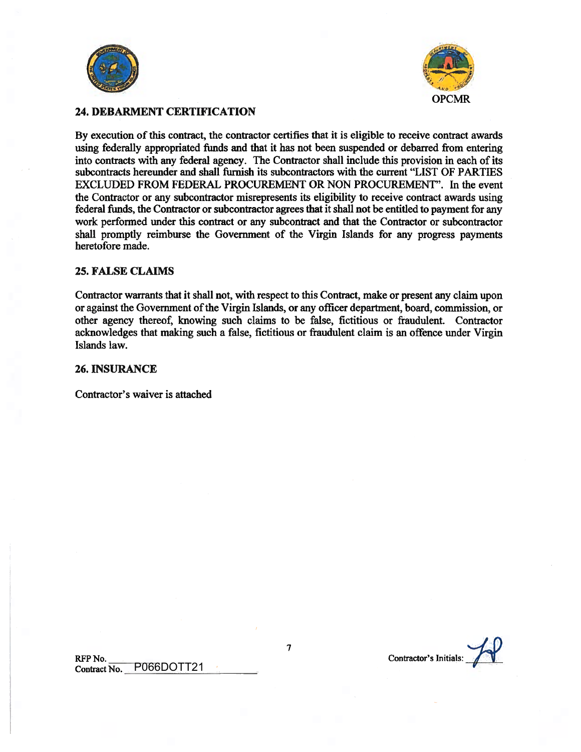



## 24. DEBARMENT CERTIFICATION

By execution of this contract, the contractor certifies that it is eligible to receive contract awards using federally appropriated funds and that it has not been suspended or debarred from entering into contracts with any federal agency. The Contractor shall include this provision in each of its subcontracts hereunder and shall furnish its subcontractors with the current "LIST OF PARTIES EXCLUDED FROM FEDERAL PROCUREMENT OR NON PROCUREMENT". In the event the Contractor or any subcontractor misrepresents its eligibility to receive contract awards using federal funds, the Contractor or subcontractor agrees that it shall not be entitled to payment for any work performed under this contract or any subcontract and that the Contractor or subcontractor shall promptly reimburse the Government of the Virgin Islands for any progress payments heretofore made.

#### 25. FALSE CLAIMS

Contractor warrants that it shall not, with respect to this Contract, make or present any claim upon or against the Government of the Virgin Islands, or any officer department, board, commission, or other agency thereof, knowing such claims to be false, fictitious or fraudulent. Contractor acknowledges that making such a false, fictitious or fraudulent claim is an offence under Virgin Islands law.

#### 26. INSURANCE

Contractor's waiver is attached

RFP No. Contractor's Initials: Contract No. P066DOTT21

7